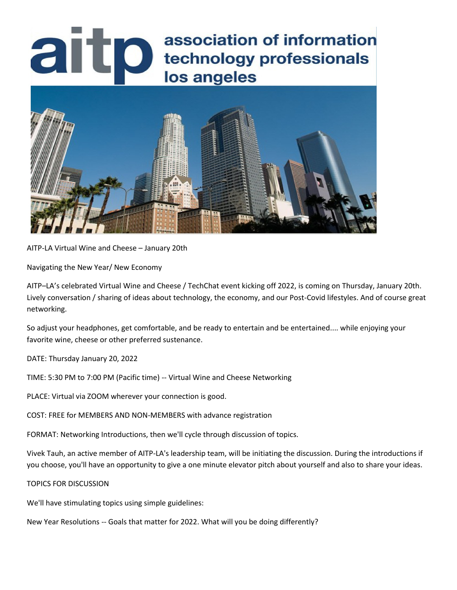# association of information<br>lechnology professionals<br>los angeles association of information los angeles



AITP-LA Virtual Wine and Cheese – January 20th

Navigating the New Year/ New Economy

AITP–LA's celebrated Virtual Wine and Cheese / TechChat event kicking off 2022, is coming on Thursday, January 20th. Lively conversation / sharing of ideas about technology, the economy, and our Post-Covid lifestyles. And of course great networking.

So adjust your headphones, get comfortable, and be ready to entertain and be entertained.... while enjoying your favorite wine, cheese or other preferred sustenance.

DATE: Thursday January 20, 2022

TIME: 5:30 PM to 7:00 PM (Pacific time) -- Virtual Wine and Cheese Networking

PLACE: Virtual via ZOOM wherever your connection is good.

COST: FREE for MEMBERS AND NON-MEMBERS with advance registration

FORMAT: Networking Introductions, then we'll cycle through discussion of topics.

Vivek Tauh, an active member of AITP-LA's leadership team, will be initiating the discussion. During the introductions if you choose, you'll have an opportunity to give a one minute elevator pitch about yourself and also to share your ideas.

## TOPICS FOR DISCUSSION

We'll have stimulating topics using simple guidelines:

New Year Resolutions -- Goals that matter for 2022. What will you be doing differently?